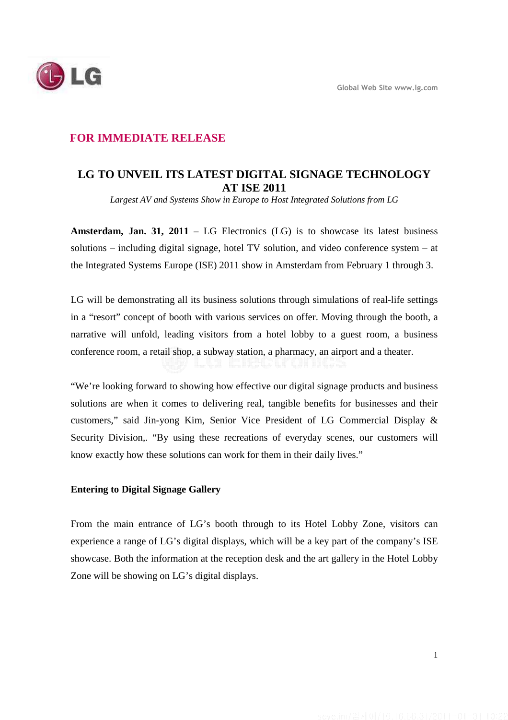

## **FOR IMMEDIATE RELEASE**

# **LG TO UNVEIL ITS LATEST DIGITAL SIGNAGE TECHNOLOGY AT ISE 2011**

*Largest AV and Systems Show in Europe to Host Integrated Solutions from LG* 

**Amsterdam, Jan. 31, 2011** – LG Electronics (LG) is to showcase its latest business solutions – including digital signage, hotel TV solution, and video conference system – at the Integrated Systems Europe (ISE) 2011 show in Amsterdam from February 1 through 3.

LG will be demonstrating all its business solutions through simulations of real-life settings in a "resort" concept of booth with various services on offer. Moving through the booth, a narrative will unfold, leading visitors from a hotel lobby to a guest room, a business conference room, a retail shop, a subway station, a pharmacy, an airport and a theater.

"We're looking forward to showing how effective our digital signage products and business solutions are when it comes to delivering real, tangible benefits for businesses and their customers," said Jin-yong Kim, Senior Vice President of LG Commercial Display & Security Division,. "By using these recreations of everyday scenes, our customers will know exactly how these solutions can work for them in their daily lives."

### **Entering to Digital Signage Gallery**

From the main entrance of LG's booth through to its Hotel Lobby Zone, visitors can experience a range of LG's digital displays, which will be a key part of the company's ISE showcase. Both the information at the reception desk and the art gallery in the Hotel Lobby Zone will be showing on LG's digital displays.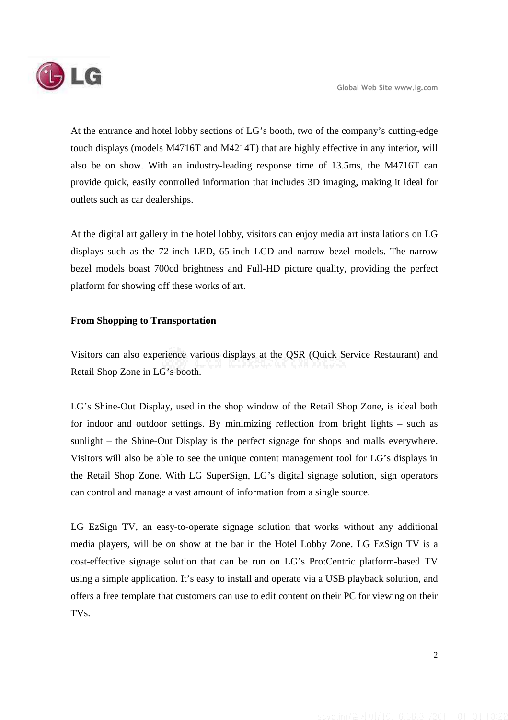At the entrance and hotel lobby sections of LG's booth, two of the company's cutting-edge touch displays (models M4716T and M4214T) that are highly effective in any interior, will also be on show. With an industry-leading response time of 13.5ms, the M4716T can provide quick, easily controlled information that includes 3D imaging, making it ideal for outlets such as car dealerships.

At the digital art gallery in the hotel lobby, visitors can enjoy media art installations on LG displays such as the 72-inch LED, 65-inch LCD and narrow bezel models. The narrow bezel models boast 700cd brightness and Full-HD picture quality, providing the perfect platform for showing off these works of art.

#### **From Shopping to Transportation**

Visitors can also experience various displays at the QSR (Quick Service Restaurant) and Retail Shop Zone in LG's booth.

LG's Shine-Out Display, used in the shop window of the Retail Shop Zone, is ideal both for indoor and outdoor settings. By minimizing reflection from bright lights – such as sunlight – the Shine-Out Display is the perfect signage for shops and malls everywhere. Visitors will also be able to see the unique content management tool for LG's displays in the Retail Shop Zone. With LG SuperSign, LG's digital signage solution, sign operators can control and manage a vast amount of information from a single source.

LG EzSign TV, an easy-to-operate signage solution that works without any additional media players, will be on show at the bar in the Hotel Lobby Zone. LG EzSign TV is a cost-effective signage solution that can be run on LG's Pro:Centric platform-based TV using a simple application. It's easy to install and operate via a USB playback solution, and offers a free template that customers can use to edit content on their PC for viewing on their TVs.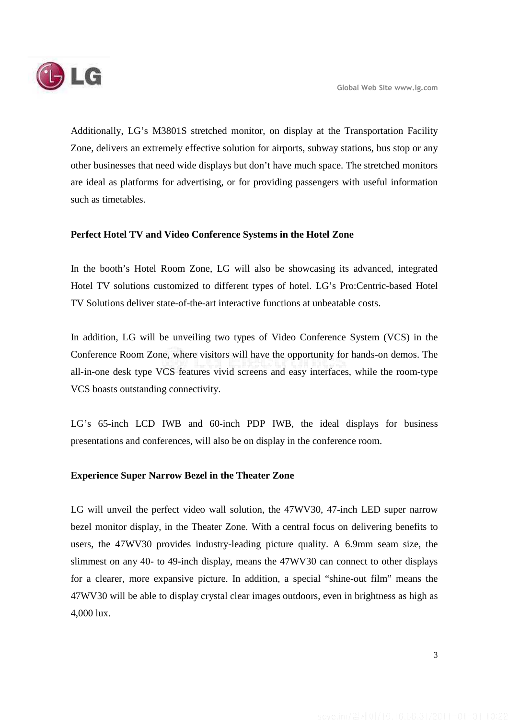

Additionally, LG's M3801S stretched monitor, on display at the Transportation Facility Zone, delivers an extremely effective solution for airports, subway stations, bus stop or any other businesses that need wide displays but don't have much space. The stretched monitors are ideal as platforms for advertising, or for providing passengers with useful information such as timetables.

## **Perfect Hotel TV and Video Conference Systems in the Hotel Zone**

In the booth's Hotel Room Zone, LG will also be showcasing its advanced, integrated Hotel TV solutions customized to different types of hotel. LG's Pro:Centric-based Hotel TV Solutions deliver state-of-the-art interactive functions at unbeatable costs.

In addition, LG will be unveiling two types of Video Conference System (VCS) in the Conference Room Zone, where visitors will have the opportunity for hands-on demos. The all-in-one desk type VCS features vivid screens and easy interfaces, while the room-type VCS boasts outstanding connectivity.

LG's 65-inch LCD IWB and 60-inch PDP IWB, the ideal displays for business presentations and conferences, will also be on display in the conference room.

### **Experience Super Narrow Bezel in the Theater Zone**

LG will unveil the perfect video wall solution, the 47WV30, 47-inch LED super narrow bezel monitor display, in the Theater Zone. With a central focus on delivering benefits to users, the 47WV30 provides industry-leading picture quality. A 6.9mm seam size, the slimmest on any 40- to 49-inch display, means the 47WV30 can connect to other displays for a clearer, more expansive picture. In addition, a special "shine-out film" means the 47WV30 will be able to display crystal clear images outdoors, even in brightness as high as 4,000 lux.